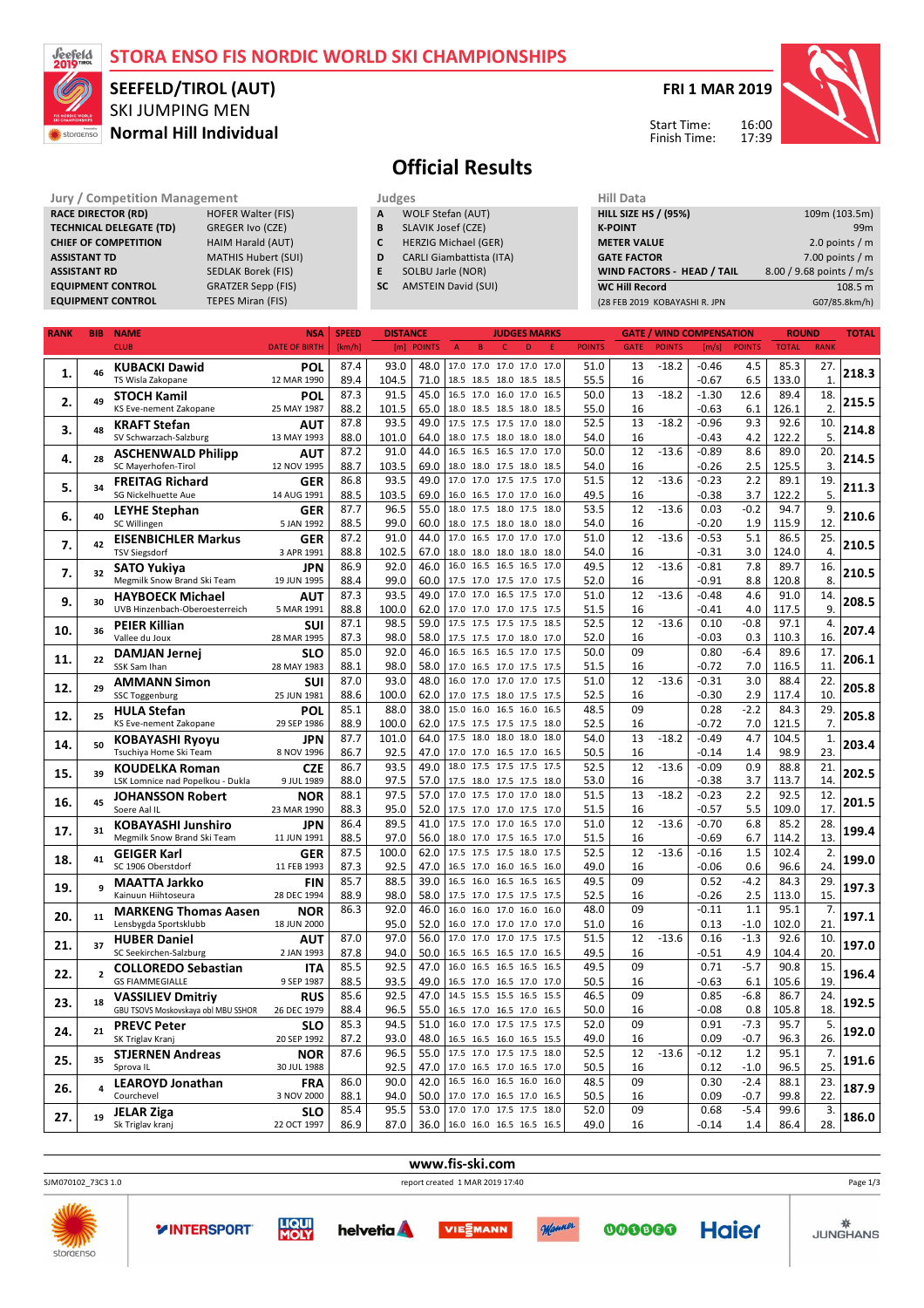## **STORA ENSO FIS NORDIC WORLD SKI CHAMPIONSHIPS**



## SKI JUMPING MEN **Normal Hill Individual SEEFELD/TIROL (AUT)**

**FRI 1 MAR 2019**

Start Time: Finish Time:



# **Official Results**

**SLAVIK Josef (CZE)** 

#### **Jury / Competition Management Judges Judges Hill Dat**<br> **RACE DIRECTOR (RD)** HOFER Walter (FIS) **A** WOLF Stefan (AUT) **HILL SIZE RACE DIRECTOR (RD)** HOFER Walter (FIS<br> **TECHNICAL DELEGATE (TD)** GREGER Ivo (CZE) **TECHNICAL DELEGATE (TD) CHIEF OF COMPETITION HAIM Harald (AUT)**

**ASSISTANT TD** MATHIS Hubert (SUI) **ASSISTANT RD** SEDLAK Borek (FIS) **EQUIPMENT CONTROL GRATZER Sepp (FIS)**<br> **EQUIPMENT CONTROL** TEPES Miran (FIS) **EQUIPMENT CONTROL** 

**A** WOLF Stefan (AUT)<br>**B** SLAVIK Josef (CZE) **C** HERZIG Michael (GER) **D** CARLI Giambattista (ITA) **E** SOLBU Jarle (NOR) **SC** AMSTEIN David (SUI)

| HIII Data                         |                          |
|-----------------------------------|--------------------------|
| <b>HILL SIZE HS / (95%)</b>       | 109m (103.5m)            |
| <b>K-POINT</b>                    | 99 <sub>m</sub>          |
| <b>METER VALUE</b>                | 2.0 points $/m$          |
| <b>GATE FACTOR</b>                | $7.00$ points / m        |
| <b>WIND FACTORS - HEAD / TAIL</b> | 8.00 / 9.68 points / m/s |
| <b>WC Hill Record</b>             | 108.5 m                  |
| (28 FEB 2019 KOBAYASHI R. JPN     | G07/85.8km/h)            |
|                                   |                          |

| <b>RANK</b> | <b>BIB</b>     | <b>NAME</b>                                          | <b>NSA</b>               | <b>SPEED</b> | <b>DISTANCE</b> |               |                                | <b>JUDGES MARKS</b>      |      |               | <b>GATE</b> |               | <b>WIND COMPENSATION</b> |               | <b>ROUND</b> |                  | <b>TOTAL</b> |
|-------------|----------------|------------------------------------------------------|--------------------------|--------------|-----------------|---------------|--------------------------------|--------------------------|------|---------------|-------------|---------------|--------------------------|---------------|--------------|------------------|--------------|
|             |                | <b>CLUB</b>                                          | <b>DATE OF BIRTH</b>     | [km/h]       | [m]             | <b>POINTS</b> | $\overline{B}$<br>$\mathsf{A}$ | D<br>$\mathsf{C}$        | F    | <b>POINTS</b> | <b>GATE</b> | <b>POINTS</b> | [m/s]                    | <b>POINTS</b> | <b>TOTAL</b> | <b>RANK</b>      |              |
|             |                |                                                      |                          |              |                 |               |                                | 17.0 17.0 17.0 17.0 17.0 |      |               |             |               |                          |               |              |                  |              |
| 1.          | 46             | <b>KUBACKI Dawid</b>                                 | POL                      | 87.4         | 93.0            | 48.0          |                                |                          |      | 51.0          | 13          | $-18.2$       | $-0.46$                  | 4.5           | 85.3         | 27.              | 218.3        |
|             |                | TS Wisla Zakopane                                    | 12 MAR 1990              | 89.4         | 104.5           | 71.0          |                                | 18.5 18.5 18.0 18.5 18.5 |      | 55.5          | 16          |               | $-0.67$                  | 6.5           | 133.0        | $\mathbf{1}$     |              |
| 2.          | 49             | <b>STOCH Kamil</b>                                   | POL                      | 87.3         | 91.5            | 45.0          |                                | 16.5 17.0 16.0 17.0 16.5 |      | 50.0          | 13          | $-18.2$       | $-1.30$                  | 12.6          | 89.4         | 18.              | 215.5        |
|             |                | KS Eve-nement Zakopane                               | 25 MAY 1987              | 88.2         | 101.5           | 65.0          |                                | 18.0 18.5 18.5 18.0 18.5 |      | 55.0          | 16          |               | $-0.63$                  | 6.1           | 126.1        | $\overline{2}$ . |              |
|             |                | <b>KRAFT Stefan</b>                                  | AUT                      | 87.8         | 93.5            | 49.0          |                                | 17.5 17.5 17.5 17.0      | 18.0 | 52.5          | 13          | $-18.2$       | $-0.96$                  | 9.3           | 92.6         | 10.              |              |
| 3.          | 48             | SV Schwarzach-Salzburg                               | 13 MAY 1993              | 88.0         | 101.0           | 64.0          |                                | 18.0 17.5 18.0 18.0 18.0 |      | 54.0          | 16          |               | $-0.43$                  | 4.2           | 122.2        | 5.               | 214.8        |
|             |                | <b>ASCHENWALD Philipp</b>                            | <b>AUT</b>               | 87.2         | 91.0            | 44.0          |                                | 16.5 16.5 16.5 17.0 17.0 |      | 50.0          | 12          | $-13.6$       | $-0.89$                  | 8.6           | 89.0         | 20.              |              |
| 4.          | 28             | SC Mayerhofen-Tirol                                  | 12 NOV 1995              | 88.7         | 103.5           | 69.0          |                                | 18.0 18.0 17.5 18.0 18.5 |      | 54.0          | 16          |               | $-0.26$                  | 2.5           | 125.5        | 3.               | 214.5        |
|             |                |                                                      |                          | 86.8         | 93.5            | 49.0          |                                | 17.0 17.0 17.5 17.5 17.0 |      | 51.5          | 12          | $-13.6$       | $-0.23$                  | 2.2           | 89.1         | 19.              |              |
| 5.          | 34             | <b>FREITAG Richard</b>                               | <b>GER</b>               |              |                 |               |                                |                          |      |               |             |               |                          |               |              |                  | 211.3        |
|             |                | SG Nickelhuette Aue                                  | 14 AUG 1991              | 88.5         | 103.5           | 69.0          |                                | 16.0 16.5 17.0 17.0 16.0 |      | 49.5          | 16          |               | $-0.38$                  | 3.7           | 122.2        | 5.               |              |
| 6.          | 40             | <b>LEYHE Stephan</b>                                 | <b>GER</b>               | 87.7         | 96.5            | 55.0          |                                | 18.0 17.5 18.0 17.5      | 18.0 | 53.5          | 12          | $-13.6$       | 0.03                     | $-0.2$        | 94.7         | 9.               | 210.6        |
|             |                | SC Willingen                                         | 5 JAN 1992               | 88.5         | 99.0            | 60.0          |                                | 18.0 17.5 18.0 18.0 18.0 |      | 54.0          | 16          |               | -0.20                    | 1.9           | 115.9        | 12.              |              |
| 7.          | 42             | <b>EISENBICHLER Markus</b>                           | <b>GER</b>               | 87.2         | 91.0            | 44.0          |                                | 17.0 16.5 17.0 17.0 17.0 |      | 51.0          | 12          | $-13.6$       | $-0.53$                  | 5.1           | 86.5         | 25.              | 210.5        |
|             |                | <b>TSV Siegsdorf</b>                                 | 3 APR 1991               | 88.8         | 102.5           | 67.0          |                                | 18.0 18.0 18.0 18.0 18.0 |      | 54.0          | 16          |               | $-0.31$                  | 3.0           | 124.0        | $\overline{4}$   |              |
| 7.          |                | <b>SATO Yukiya</b>                                   | <b>JPN</b>               | 86.9         | 92.0            | 46.0          |                                | 16.0 16.5 16.5 16.5 17.0 |      | 49.5          | 12          | $-13.6$       | $-0.81$                  | 7.8           | 89.7         | 16.              |              |
|             | 32             | Megmilk Snow Brand Ski Team                          | 19 JUN 1995              | 88.4         | 99.0            | 60.0          |                                | 17.5 17.0 17.5 17.0 17.5 |      | 52.0          | 16          |               | $-0.91$                  | 8.8           | 120.8        | 8.               | 210.5        |
|             |                | <b>HAYBOECK Michael</b>                              | AUT                      | 87.3         | 93.5            | 49.0          |                                | 17.0 17.0 16.5 17.5 17.0 |      | 51.0          | 12          | $-13.6$       | $-0.48$                  | 4.6           | 91.0         | 14.              |              |
| 9.          | 30             | UVB Hinzenbach-Oberoesterreich                       | 5 MAR 1991               | 88.8         | 100.0           | 62.0          |                                | 17.0 17.0 17.0 17.5 17.5 |      | 51.5          | 16          |               | $-0.41$                  | 4.0           | 117.5        | 9.               | 208.5        |
|             |                |                                                      | SUI                      | 87.1         | 98.5            | 59.0          |                                | 17.5 17.5 17.5 17.5 18.5 |      | 52.5          | 12          | $-13.6$       | 0.10                     | $-0.8$        | 97.1         | 4.               |              |
| 10.         | 36             | PEIER Killian                                        | 28 MAR 1995              | 87.3         | 98.0            | 58.0          |                                |                          |      | 52.0          | 16          |               | $-0.03$                  | 0.3           | 110.3        | 16.              | 207.4        |
|             |                | Vallee du Joux                                       |                          |              |                 |               |                                | 17.5 17.5 17.0 18.0 17.0 |      |               |             |               |                          |               |              |                  |              |
| 11.         | 22             | <b>DAMJAN Jernej</b>                                 | <b>SLO</b>               | 85.0         | 92.0            | 46.0          |                                | 16.5 16.5 16.5 17.0 17.5 |      | 50.0          | 09          |               | 0.80                     | $-6.4$        | 89.6         | 17.              | 206.1        |
|             |                | SSK Sam Ihan                                         | 28 MAY 1983              | 88.1         | 98.0            | 58.0          |                                | 17.0 16.5 17.0 17.5 17.5 |      | 51.5          | 16          |               | $-0.72$                  | 7.0           | 116.5        | 11.              |              |
| 12.         | 29             | <b>AMMANN Simon</b>                                  | <b>SUI</b>               | 87.0         | 93.0            | 48.0          |                                | 16.0 17.0 17.0 17.0 17.5 |      | 51.0          | 12          | $-13.6$       | $-0.31$                  | 3.0           | 88.4         | 22.              | 205.8        |
|             |                | SSC Toggenburg                                       | 25 JUN 1981              | 88.6         | 100.0           | 62.0          |                                | 17.0 17.5 18.0 17.5 17.5 |      | 52.5          | 16          |               | $-0.30$                  | 2.9           | 117.4        | 10.              |              |
| 12.         | 25             | <b>HULA Stefan</b>                                   | POL                      | 85.1         | 88.0            | 38.0          |                                | 15.0 16.0 16.5 16.0      | 16.5 | 48.5          | 09          |               | 0.28                     | $-2.2$        | 84.3         | 29.              | 205.8        |
|             |                | KS Eve-nement Zakopane                               | 29 SEP 1986              | 88.9         | 100.0           | 62.0          |                                | 17.5 17.5 17.5 17.5 18.0 |      | 52.5          | 16          |               | $-0.72$                  | 7.0           | 121.5        | 7.               |              |
|             |                | <b>KOBAYASHI Ryoyu</b>                               | <b>JPN</b>               | 87.7         | 101.0           | 64.0          |                                | 17.5 18.0 18.0 18.0      | 18.0 | 54.0          | 13          | $-18.2$       | $-0.49$                  | 4.7           | 104.5        | $\mathbf{1}$     |              |
| 14.         | 50             | Tsuchiya Home Ski Team                               | 8 NOV 1996               | 86.7         | 92.5            | 47.0          |                                | 17.0 17.0 16.5 17.0 16.5 |      | 50.5          | 16          |               | $-0.14$                  | 1.4           | 98.9         | 23.              | 203.4        |
|             |                | <b>KOUDELKA Roman</b>                                | <b>CZE</b>               | 86.7         | 93.5            | 49.0          |                                | 18.0 17.5 17.5 17.5 17.5 |      | 52.5          | 12          | $-13.6$       | $-0.09$                  | 0.9           | 88.8         | 21.              |              |
| 15.         | 39             | LSK Lomnice nad Popelkou - Dukla                     | 9 JUL 1989               | 88.0         | 97.5            | 57.0          |                                | 17.5 18.0 17.5 17.5 18.0 |      | 53.0          | 16          |               | $-0.38$                  | 3.7           | 113.7        | 14.              | 202.5        |
|             |                |                                                      |                          | 88.1         | 97.5            | 57.0          |                                | 17.0 17.5 17.0 17.0      | 18.0 | 51.5          | 13          | $-18.2$       | $-0.23$                  | 2.2           | 92.5         | 12.              |              |
| 16.         | 45             | <b>JOHANSSON Robert</b><br>Soere Aal IL              | <b>NOR</b>               | 88.3         | 95.0            | 52.0          |                                |                          |      |               |             |               | $-0.57$                  | 5.5           | 109.0        | 17.              | 201.5        |
|             |                |                                                      | 23 MAR 1990              |              |                 |               |                                | 17.5 17.0 17.0 17.5 17.0 |      | 51.5          | 16          |               |                          |               |              |                  |              |
| 17.         | 31             | <b>KOBAYASHI Junshiro</b>                            | <b>JPN</b>               | 86.4         | 89.5            | 41.0          |                                | 17.5 17.0 17.0 16.5 17.0 |      | 51.0          | 12          | $-13.6$       | $-0.70$                  | 6.8           | 85.2         | 28.              | 199.4        |
|             |                | Megmilk Snow Brand Ski Team                          | 11 JUN 1991              | 88.5         | 97.0            | 56.0          |                                | 18.0 17.0 17.5 16.5 17.0 |      | 51.5          | 16          |               | $-0.69$                  | 6.7           | 114.2        | 13.              |              |
| 18.         | 41             | <b>GEIGER Karl</b>                                   | <b>GER</b>               | 87.5         | 100.0           | 62.0          |                                | 17.5 17.5 17.5 18.0 17.5 |      | 52.5          | 12          | $-13.6$       | $-0.16$                  | 1.5           | 102.4        | 2.               | 199.0        |
|             |                | SC 1906 Oberstdorf                                   | 11 FEB 1993              | 87.3         | 92.5            | 47.0          |                                | 16.5 17.0 16.0 16.5 16.0 |      | 49.0          | 16          |               | $-0.06$                  | 0.6           | 96.6         | 24.              |              |
|             | q              | <b>MAATTA Jarkko</b>                                 | <b>FIN</b>               | 85.7         | 88.5            | 39.0          |                                | 16.5 16.0 16.5 16.5      | 16.5 | 49.5          | 09          |               | 0.52                     | $-4.2$        | 84.3         | 29.              | 197.3        |
| 19.         |                | Kainuun Hiihtoseura                                  | 28 DEC 1994              | 88.9         | 98.0            | 58.0          |                                | 17.5 17.0 17.5 17.5 17.5 |      | 52.5          | 16          |               | $-0.26$                  | 2.5           | 113.0        | 15.              |              |
|             |                | <b>MARKENG Thomas Aasen</b>                          | <b>NOR</b>               | 86.3         | 92.0            | 46.0          |                                | 16.0 16.0 17.0 16.0      | 16.0 | 48.0          | 09          |               | $-0.11$                  | 1.1           | 95.1         | 7.               |              |
| 20.         | 11             | Lensbygda Sportsklubb                                | 18 JUN 2000              |              | 95.0            | 52.0          |                                | 16.0 17.0 17.0 17.0 17.0 |      | 51.0          | 16          |               | 0.13                     | $-1.0$        | 102.0        | 21               | 197.1        |
|             |                | <b>HUBER Daniel</b>                                  | AUT                      | 87.0         | 97.0            | 56.0          |                                | 17.0 17.0 17.0 17.5 17.5 |      | 51.5          | 12          | $-13.6$       | 0.16                     | $-1.3$        | 92.6         | 10.              |              |
| 21.         | 37             | SC Seekirchen-Salzburg                               | 2 JAN 1993               | 87.8         | 94.0            | 50.0          |                                | 16.5 16.5 16.5 17.0 16.5 |      | 49.5          | 16          |               | $-0.51$                  | 4.9           | 104.4        | 20.              | 197.0        |
|             |                |                                                      |                          | 85.5         | 92.5            | 47.0          |                                | 16.0 16.5 16.5 16.5      | 16.5 | 49.5          | 09          |               | 0.71                     | $-5.7$        | 90.8         | 15.              |              |
| 22.         | $\overline{2}$ | <b>COLLOREDO Sebastian</b><br><b>GS FIAMMEGIALLE</b> | <b>ITA</b><br>9 SEP 1987 |              |                 | 49.0          |                                | 16.5 17.0 16.5 17.0 17.0 |      | 50.5          | 16          |               | $-0.63$                  | 6.1           |              | 19               | 196.4        |
|             |                |                                                      |                          | 88.5         | 93.5            |               |                                |                          |      |               |             |               |                          |               | 105.6        |                  |              |
| 23.         | 18             | <b>VASSILIEV Dmitriy</b>                             | <b>RUS</b>               | 85.6         | 92.5            | 47.0          |                                | 14.5 15.5 15.5 16.5 15.5 |      | 46.5          | 09          |               | 0.85                     | $-6.8$        | 86.7         | 24.              | 192.5        |
|             |                | GBU TSOVS Moskovskaya obl MBU SSHOR                  | 26 DEC 1979              | 88.4         | 96.5            | 55.0          |                                | 16.5 17.0 16.5 17.0 16.5 |      | 50.0          | 16          |               | $-0.08$                  | 0.8           | 105.8        | 18               |              |
| 24.         | 21             | <b>PREVC Peter</b>                                   | SLO                      | 85.3         | 94.5            | 51.0          |                                | 16.0 17.0 17.5 17.5 17.5 |      | 52.0          | 09          |               | 0.91                     | $-7.3$        | 95.7         | 5.               | 192.0        |
|             |                | SK Triglav Kranj                                     | 20 SEP 1992              | 87.2         | 93.0            | 48.0          |                                | 16.5 16.5 16.0 16.5 15.5 |      | 49.0          | 16          |               | 0.09                     | $-0.7$        | 96.3         | 26.              |              |
| 25.         | 35             | <b>STJERNEN Andreas</b>                              | <b>NOR</b>               | 87.6         | 96.5            | 55.0          |                                | 17.5 17.0 17.5 17.5      | 18.0 | 52.5          | 12          | $-13.6$       | $-0.12$                  | 1.2           | 95.1         | 7.               | 191.6        |
|             |                | Sprova IL                                            | 30 JUL 1988              |              | 92.5            | 47.0          |                                | 17.0 16.5 17.0 16.5 17.0 |      | 50.5          | 16          |               | 0.12                     | $-1.0$        | 96.5         | 25.              |              |
|             |                | <b>LEAROYD Jonathan</b>                              | <b>FRA</b>               | 86.0         | 90.0            | 42.0          |                                | 16.5 16.0 16.5 16.0      | 16.0 | 48.5          | 09          |               | 0.30                     | $-2.4$        | 88.1         | 23.              |              |
| 26.         | 4              | Courchevel                                           | 3 NOV 2000               | 88.1         | 94.0            | 50.0          |                                | 17.0 17.0 16.5 17.0      | 16.5 | 50.5          | 16          |               | 0.09                     | $-0.7$        | 99.8         | 22               | 187.9        |
|             |                | <b>JELAR Ziga</b>                                    | SLO                      | 85.4         | 95.5            | 53.0          |                                | 17.0 17.0 17.5 17.5 18.0 |      | 52.0          | 09          |               | 0.68                     | $-5.4$        | 99.6         | 3.               |              |
| 27.         | 19             | Sk Triglav kranj                                     | 22 OCT 1997              | 86.9         | 87.0            | 36.0          |                                | 16.0 16.0 16.5 16.5 16.5 |      | 49.0          | 16          |               | $-0.14$                  | 1.4           | 86.4         | 28.              | 186.0        |
|             |                |                                                      |                          |              |                 |               |                                |                          |      |               |             |               |                          |               |              |                  |              |

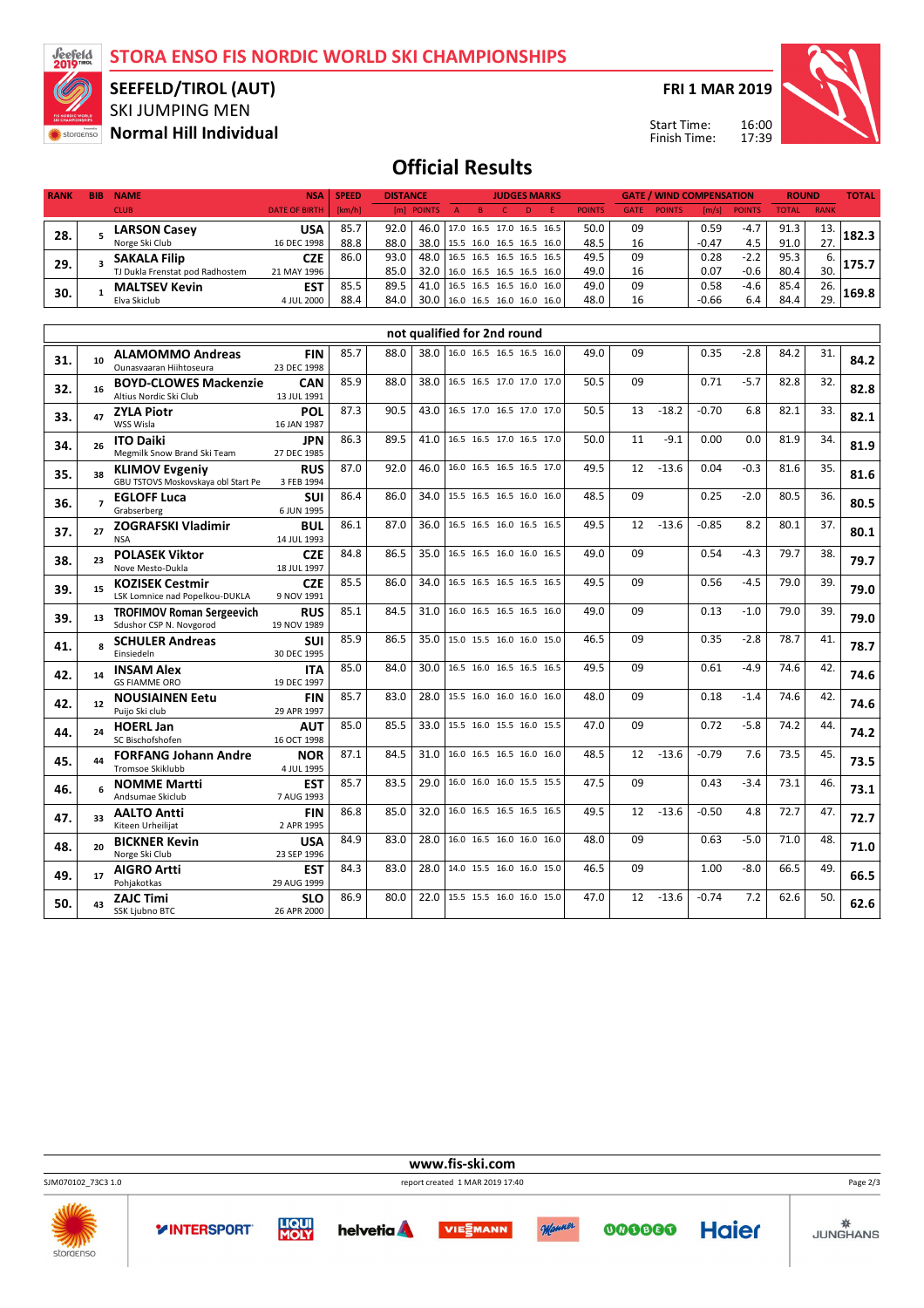**STORA ENSO FIS NORDIC WORLD SKI CHAMPIONSHIPS**



**47. 33**

**48. 20**

**49. 17**

 $50.$  43

Kiteen Urheilijat **AALTO Antti**

Norge Ski Club **BICKNER Kevin**

Pohjakotkas **AIGRO Artti**

SSK Ljubno BTC **ZAJC Timi**

2 APR 1995

23 SEP 1996

29 AUG 1999

26 APR 2000

### SKI JUMPING MEN **SEEFELD/TIROL (AUT)**

**Normal Hill Individual**

**FRI 1 MAR 2019**

Start Time: Finish Time:

**GATE / WIND COMPENSATION**



**TOTAL**

**ROUND**

# **Official Results**

| <b>RANK</b> | <b>BIB</b>     | <b>NAME</b>                                                        | <b>NSA</b>                | <b>SPEED</b> | <b>DISTANCE</b> |                               |                               |                          | <b>JUDGES MARKS</b> |   |               |             |               | <b>GATE / WIND COMPENSATION</b> |               | <b>ROUND</b> |             | <b>TOTAL</b> |
|-------------|----------------|--------------------------------------------------------------------|---------------------------|--------------|-----------------|-------------------------------|-------------------------------|--------------------------|---------------------|---|---------------|-------------|---------------|---------------------------------|---------------|--------------|-------------|--------------|
|             |                | <b>CLUB</b>                                                        | <b>DATE OF BIRTH</b>      | [km/h]       |                 | [m] POINTS                    | $\overline{A}$                | B                        | $\mathsf{C}$        | D | <b>POINTS</b> | <b>GATE</b> | <b>POINTS</b> | [m/s]                           | <b>POINTS</b> | <b>TOTAL</b> | <b>RANK</b> |              |
| 28.         | 5              | <b>LARSON Casey</b>                                                | <b>USA</b>                | 85.7         | 92.0            | 46.0                          |                               | 17.0 16.5 17.0 16.5 16.5 |                     |   | 50.0          | 09          |               | 0.59                            | $-4.7$        | 91.3         | 13.         | 182.3        |
|             |                | Norge Ski Club                                                     | 16 DEC 1998               | 88.8         | 88.0            | 38.0                          |                               | 15.5 16.0 16.5 16.5 16.0 |                     |   | 48.5          | 16          |               | $-0.47$                         | 4.5           | 91.0         | 27.         |              |
| 29.         | 3              | <b>SAKALA Filip</b>                                                | <b>CZE</b>                | 86.0         | 93.0            | 48.0 16.5 16.5 16.5 16.5 16.5 |                               |                          |                     |   | 49.5          | 09          |               | 0.28                            | $-2.2$        | 95.3         | 6.          | 175.7        |
|             |                | TJ Dukla Frenstat pod Radhostem                                    | 21 MAY 1996               |              | 85.0            | 32.0                          | 16.0 16.5 16.5 16.5 16.0      |                          |                     |   | 49.0          | 16          |               | 0.07                            | $-0.6$        | 80.4         | 30.         |              |
| 30.         | $\mathbf{1}$   | <b>MALTSEV Kevin</b>                                               | <b>EST</b>                | 85.5         | 89.5            | 41.0                          |                               | 16.5 16.5 16.5 16.0 16.0 |                     |   | 49.0          | 09          |               | 0.58                            | $-4.6$        | 85.4         | 26.         | 169.8        |
|             |                | Elva Skiclub                                                       | 4 JUL 2000                | 88.4         | 84.0            | 30.0 16.0 16.5 16.0 16.0 16.0 |                               |                          |                     |   | 48.0          | 16          |               | $-0.66$                         | 6.4           | 84.4         | 29.         |              |
|             |                |                                                                    |                           |              |                 | not qualified for 2nd round   |                               |                          |                     |   |               |             |               |                                 |               |              |             |              |
|             |                |                                                                    |                           |              |                 |                               |                               |                          |                     |   |               |             |               |                                 |               |              |             |              |
| 31.         | 10             | <b>ALAMOMMO Andreas</b>                                            | <b>FIN</b><br>23 DEC 1998 | 85.7         | 88.0            |                               | 38.0 16.0 16.5 16.5 16.5 16.0 |                          |                     |   | 49.0          | 09          |               | 0.35                            | $-2.8$        | 84.2         | 31.         | 84.2         |
|             |                | Ounasvaaran Hiihtoseura<br><b>BOYD-CLOWES Mackenzie</b>            | <b>CAN</b>                | 85.9         | 88.0            | 38.0                          |                               | 16.5 16.5 17.0 17.0 17.0 |                     |   | 50.5          | 09          |               | 0.71                            | $-5.7$        | 82.8         | 32.         |              |
| 32.         | 16             | Altius Nordic Ski Club                                             | 13 JUL 1991               |              |                 |                               |                               |                          |                     |   |               |             |               |                                 |               |              |             | 82.8         |
|             |                | <b>ZYLA Piotr</b>                                                  | <b>POL</b>                | 87.3         | 90.5            | 43.0                          |                               | 16.5 17.0 16.5 17.0 17.0 |                     |   | 50.5          | 13          | $-18.2$       | $-0.70$                         | 6.8           | 82.1         | 33.         |              |
| 33.         | 47             | WSS Wisla                                                          | 16 JAN 1987               |              |                 |                               |                               |                          |                     |   |               |             |               |                                 |               |              |             | 82.1         |
| 34.         | 26             | <b>ITO Daiki</b>                                                   | <b>JPN</b>                | 86.3         | 89.5            | 41.0                          |                               | 16.5 16.5 17.0 16.5 17.0 |                     |   | 50.0          | 11          | $-9.1$        | 0.00                            | 0.0           | 81.9         | 34.         | 81.9         |
|             |                | Megmilk Snow Brand Ski Team                                        | 27 DEC 1985               |              |                 |                               |                               |                          |                     |   |               |             |               |                                 |               |              |             |              |
| 35.         | 38             | <b>KLIMOV Evgeniy</b>                                              | <b>RUS</b>                | 87.0         | 92.0            | 46.0                          |                               | 16.0 16.5 16.5 16.5 17.0 |                     |   | 49.5          | 12          | $-13.6$       | 0.04                            | $-0.3$        | 81.6         | 35.         | 81.6         |
|             |                | GBU TSTOVS Moskovskaya obl Start Pe<br><b>EGLOFF Luca</b>          | 3 FEB 1994<br>SUI         | 86.4         | 86.0            | 34.0                          |                               | 15.5 16.5 16.5 16.0 16.0 |                     |   | 48.5          | 09          |               | 0.25                            | -2.0          | 80.5         | 36.         |              |
| 36.         | $\overline{ }$ | Grabserberg                                                        | 6 JUN 1995                |              |                 |                               |                               |                          |                     |   |               |             |               |                                 |               |              |             | 80.5         |
|             | 27             | <b>ZOGRAFSKI Vladimir</b>                                          | <b>BUL</b>                | 86.1         | 87.0            | 36.0                          |                               | 16.5 16.5 16.0 16.5 16.5 |                     |   | 49.5          | 12          | $-13.6$       | $-0.85$                         | 8.2           | 80.1         | 37.         |              |
| 37.         |                | <b>NSA</b>                                                         | 14 JUL 1993               |              |                 |                               |                               |                          |                     |   |               |             |               |                                 |               |              |             | 80.1         |
| 38.         | 23             | <b>POLASEK Viktor</b>                                              | <b>CZE</b>                | 84.8         | 86.5            | 35.0                          |                               | 16.5 16.5 16.0 16.0 16.5 |                     |   | 49.0          | 09          |               | 0.54                            | $-4.3$        | 79.7         | 38.         | 79.7         |
|             |                | Nove Mesto-Dukla                                                   | 18 JUL 1997               |              |                 |                               |                               |                          |                     |   |               |             |               |                                 |               |              |             |              |
| 39.         | 15             | <b>KOZISEK Cestmir</b>                                             | <b>CZE</b>                | 85.5         | 86.0            | 34.0                          |                               | 16.5 16.5 16.5 16.5 16.5 |                     |   | 49.5          | 09          |               | 0.56                            | $-4.5$        | 79.0         | 39.         | 79.0         |
|             |                | LSK Lomnice nad Popelkou-DUKLA<br><b>TROFIMOV Roman Sergeevich</b> | 9 NOV 1991<br><b>RUS</b>  | 85.1         | 84.5            | 31.0                          |                               | 16.0 16.5 16.5 16.5 16.0 |                     |   | 49.0          | 09          |               | 0.13                            | $-1.0$        | 79.0         | 39.         |              |
| 39.         | 13             | Sdushor CSP N. Novgorod                                            | 19 NOV 1989               |              |                 |                               |                               |                          |                     |   |               |             |               |                                 |               |              |             | 79.0         |
|             |                | <b>SCHULER Andreas</b>                                             | SUI                       | 85.9         | 86.5            | 35.0                          |                               | 15.0 15.5 16.0 16.0 15.0 |                     |   | 46.5          | 09          |               | 0.35                            | $-2.8$        | 78.7         | 41.         |              |
| 41.         | 8              | Einsiedeln                                                         | 30 DEC 1995               |              |                 |                               |                               |                          |                     |   |               |             |               |                                 |               |              |             | 78.7         |
| 42.         | 14             | <b>INSAM Alex</b>                                                  | <b>ITA</b>                | 85.0         | 84.0            | 30.0                          |                               | 16.5 16.0 16.5 16.5 16.5 |                     |   | 49.5          | 09          |               | 0.61                            | $-4.9$        | 74.6         | 42.         | 74.6         |
|             |                | <b>GS FIAMME ORO</b>                                               | 19 DEC 1997               |              |                 |                               |                               |                          |                     |   |               |             |               |                                 |               |              |             |              |
| 42.         | 12             | <b>NOUSIAINEN Eetu</b>                                             | <b>FIN</b>                | 85.7         | 83.0            | 28.0                          |                               | 15.5 16.0 16.0 16.0 16.0 |                     |   | 48.0          | 09          |               | 0.18                            | $-1.4$        | 74.6         | 42.         | 74.6         |
|             |                | Puijo Ski club<br><b>HOERL Jan</b>                                 | 29 APR 1997<br><b>AUT</b> | 85.0         | 85.5            | 33.0                          |                               | 15.5 16.0 15.5 16.0 15.5 |                     |   | 47.0          | 09          |               | 0.72                            | $-5.8$        | 74.2         | 44.         |              |
| 44.         | 24             | SC Bischofshofen                                                   | 16 OCT 1998               |              |                 |                               |                               |                          |                     |   |               |             |               |                                 |               |              |             | 74.2         |
|             |                | <b>FORFANG Johann Andre</b>                                        | <b>NOR</b>                | 87.1         | 84.5            | 31.0                          |                               | 16.0 16.5 16.5 16.0 16.0 |                     |   | 48.5          | 12          | $-13.6$       | $-0.79$                         | 7.6           | 73.5         | 45.         |              |
| 45.         | 44             | <b>Tromsoe Skiklubb</b>                                            | 4 JUL 1995                |              |                 |                               |                               |                          |                     |   |               |             |               |                                 |               |              |             | 73.5         |
| 46.         |                | <b>NOMME Martti</b>                                                | <b>EST</b>                | 85.7         | 83.5            | 29.0                          |                               | 16.0 16.0 16.0 15.5 15.5 |                     |   | 47.5          | 09          |               | 0.43                            | -3.4          | 73.1         | 46.         | 73.1         |
|             |                | Andsumae Skiclub                                                   | 7 AUG 1993                |              |                 |                               |                               |                          |                     |   |               |             |               |                                 |               |              |             |              |

**FIN** 86.8 85.0 32.0 16.0 16.5 16.5 16.5 16.5 49.5 12 -13.6 -0.50 4.8 72.7 47. 72.7

**USA** 84.9 83.0 28.0 16.0 16.5 16.0 16.0 16.0 48.0 09 0.63 -5.0 71.0 48. 71.0

**EST** 84.3 83.0 28.0 14.0 15.5 16.0 16.0 15.0 46.5 09 1.00 -8.0 66.5 49. 66.5

**SLO** 86.9 80.0 22.0 15.5 15.5 16.0 16.0 15.0 47.0 12 -13.6 -0.74 7.2 62.6 50. 62.6